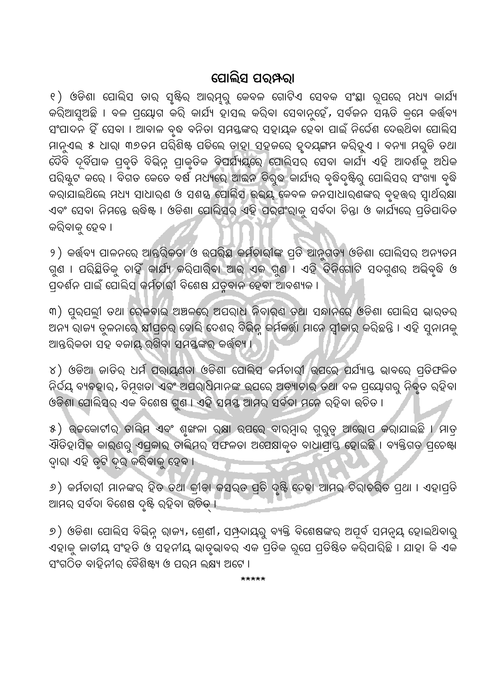## ପୋଲିସ ପର୍ ନରା

୧ ) ଓଡିଶା ପୋଲିସ ତାର୍ ସୃଷ୍ଟିର୍ ଆର୍ମ୍ନରୁ କେବଳ ଗୋଟିଏ ସେବକ ସଂ<mark>ସ୍</mark>ଥା ରୂପରେ ମଧ୍ୟ କାର୍ଯ୍ୟ କରିଆସୁଅଛି । ବଳ ପ୍ରୟୋଗ କରି କାର୍ଯ୍ୟ ହାସଲ କରିବା ସେବାନୁହେଁ, ସର୍ବଜନ ସମ୍ମତି କ୍ରମେ କର୍ତ୍ତବ୍ୟ ସଂପାଦନ ହିଁ ସେବା । ଆବାଳ ବୃଦ୍ଧ ବନିତା ସମସ୍ତଙ୍କର୍ ସହାୟକ ହେବା ପାଇଁ ନିର୍ଦ୍ଦେଶ ଦେଉଥିବା ପୋଲିସ ମାନୁଏଲ୍ ୫ ଧାର୍। ୩୭ତମ ପରିଶିଷ୍ଟ ପଡିଲେ ତାହା ସହଜରେ ହୃଦଯ୍ଙ୍ଗମ କରିହୁଏ । ବନ୍ୟା ମରୁଡି ତଥା ବୈବି ଦୂର୍ବିପାକ ପ୍ରବୃତି ବିଭିନ୍ନ ପ୍ରାକୃତିକ ବିପର୍ଯ୍ୟୟରେ ପୋଲିସର ସେବା କାର୍ଯ୍ୟ ଏହି ଆଦର୍ଶକୁ ଅଧିକ ପରି୍ୟୁଟ କରେ । ବିଗତ କେତେ ବର୍ଷ ମଧ୍ୟରେ ଆଇନ ବିରୁଦ୍ଧ କାର୍ଯ୍ୟର ବୃଦ୍ଧିଦୃଷ୍ଟିରୁ ପୋଲିସର ସଂଖ୍ୟା ବୃଦ୍ଧି କରାଯାଇଥିଲେ ମଧ୍ୟ ସାଧାରଣ ଓ ସଶୟ ପୋଲିସ ଭଭୟ କେବଳ ଜନସାଧାରଣଙ୍କର ବୃହତ୍ତର ସ୍ୱାର୍ଥର୍ୟା ଏବଂ ସେବା ନିମନ୍ତେ ଉଦ୍ଧିଷ୍ଟ । ଓଡିଶା ପୋଲିସର୍ ଏହି ପର୍ଯଂରାକୁ ସର୍ବଦା ଚିନ୍ତା ଓ କାର୍ଯ୍ୟରେ ପ୍ରତିପାଦିତ କରିବାକୁ ହେବ ।

୨ ) କର୍ତ୍ତବ୍ୟ ପାଳନରେ ଆନ୍ତରିକତା ଓ ଉପରିସ୍ଥ କର୍ମଚାରୀଙ୍କ ପ୍ରତି ଆନୁଗତ୍ୟ ଓଡିଶା ପୋଲିସର ଅନ୍ୟତମ ଗୁଣ । ପରିଛିତିକୁ ଚାହିଁ କାର୍ଯ୍ୟ କରିପାରିବା ଆ<mark>ଭ୍ ଏକ ଗୁଣ । ଏହି ତିନିଗୋଟି ସଦଗୁଣର</mark> ଅଭିବୃଦ୍ଧି ଓ ପ୍ରଦର୍ଶନ ପାଇଁ ପୋଲିସ କର୍ମଚାରୀ ବିଶେଷ ଯତୁବାନ ହେବା ଆବଶ୍ୟକ ।

୩) ପୁର୍ପଲୀ ତଥା ରେଳବାଇ ଅଞ୍ଚଳରେ ଅପରାଧ ନିବାର୍ଣ ତଥା ସନ୍ଧାନରେ ଓଡିଶା ପୋଲିସ ଭାରତର ଅନ୍ୟ ରାଜ୍ୟ ବୁଳନାରେ କ୍ଷୀପ୍ରତର ବୋଲି ଦେଶର ବିଭିନ୍ନ କର୍ମକର୍ତ୍ତା ମାନେ ସ୍ୱୀକାର କରିଛନ୍ତି । ଏହି ସୁନାମକୁ ଆନ୍ତର୍ରିକତା ସହ ବଜାୟ ରଖିବା ସମୟଙ୍କର କର୍ତ୍ତ୍ୟ ।

୪) ଓଡିଆ ଜାତିର୍ ଧର୍ମ ପରାୟଣତା ଓଡିଶା ପୋଲିସ କର୍ମଚାରୀ ଉପରେ ପର୍ଯ୍ୟାସ୍ତ ଭାବରେ ପ୍ରତିଫଳିତ ନିର୍ଦ୍ଦୟ ବ୍ୟବହାର, ବିମୂଖଡା ଏବଂ ଅପରାଧିମାନଙ୍କ ଉପରେ ଅତ୍ୟାଚାର ତଥା ବଳ ପ୍ରୟୋଗରୁ ନିବୃତ ରହିବା ଓଡିଶା ପୋଲିସର ଏକ ବିଶେଷ ଗୁଣ । ଏହି ସମୟ ଆମର ସର୍ବଦା ମନେ ରହିବା ଉଚିତ ।

୫) ଉଚ୍ଚକୋଟୀର ତାଲିମ ଏବଂ ଶୃଙ୍ଖଳା ରକ୍ଷା ଉପରେ ବାରମ୍ବାର ଗୁରୁଡ୍ୱ ଆରୋପ କରାଯାଇଛି । ମାତ୍ର ଐତିହାସିକ କାର୍ଣରୁ ଏପ୍ରକାର ତାଲିମର୍ ସଫଳତା ଅପେକ୍ଷାକୃତ ବାଧାପ୍ରାୟ ହୋଇଛି । ବ୍ୟକ୍ତିଗତ ପ୍ରଚେଷ୍ଟା ଦ୍ୱାରା ଏହି ତୃଟି ଦୂର କରିବାକୁ ହେବ ।

୬) କର୍ମଚାରୀ ମାନଙ୍କର ହିତ ତଥା କୀଡା କସର୍ତ ପ୍ରତି ଦୃଷ୍ଟି ଦେବା ଆମର୍ ଚିରାଚରିତ ପ୍ରଥା । ଏହାପ୍ରତି ଆମର୍ ସର୍ବଦା ବିଶେଷ ଦୃଷ୍ଟି ରହିବା ଉଚିତ୍ ।

୬) ଓଡିଶା ପୋଲିସ ବିଭିନ୍ନ ରାଜ୍ୟ, ଶ୍ରେଣୀ, ସମ୍ପ୍ରଦାୟରୁ ବ୍ୟକ୍ତି ବିଶେଷଙ୍କର ଅପୂର୍ବ ସମନ୍ୱୟ ହୋଇଥିବାରୁ ଏହାକୁ ଜାତୀୟ ସଂହତି ଓ ସହନୀୟ ଭାତୃଭାବର ଏକ ପ୍ରତିକ ରୂପେ ପ୍ରତିଷିତ କରିପାରିଛି । ଯାହା କି ଏକ ସଂଗଠିତ ବାହିନୀର୍ ବୈଶିଷ୍ଟ୍ୟ ଓ ପର୍ଯ ଲକ୍ଷ୍ୟ ଅଟେ ।

\*\*\*\*\*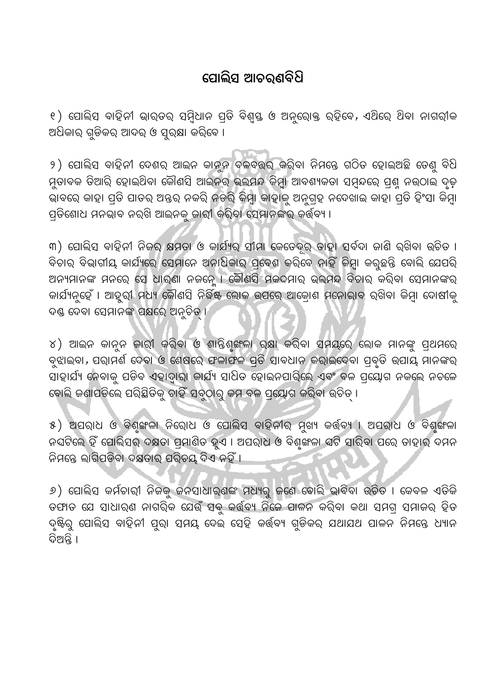## ପୋଲିସ ଆଚର୍ଣବିଧି

୧ ) ପୋଲିସ ବାହିନୀ ଭାରତର ସମ୍ବିଧାନ ପ୍ରତି ବିଶ୍ୱସ୍ତ ଓ ଅନୁରୋକ୍ତ ରହିବେ, ଏଥିରେ ଥିବା ନାଗରୀକ ଅଧିକାର୍ ଗୁଡିକର୍ ଆଦର୍ ଓ ସୁର୍କ୍ଷା କରିବେ ।

୨) ସୋଲିସ ବାହିନୀ ଦେଶର ଆଇନ କାନୁନ ବଳବତ୍ତର କରିବା ନିମନ୍ତେ ଗଠିତ ହୋଇଅଛି ତେଣୁ ବିଧି ମୁତାବକ ତିଆରି ହୋଇଥିବା କୌଣସି ଆଇନର୍ ଭ୍ଲମନ୍ଦ କିମ୍ବା ଆବଶ୍ୟକତା ସମ୍ବନ୍ଦରେ ପ୍ରଶୁ ନଉଠାଇ ଦୃତ ଭାବରେ କାହା ପ୍ରତି ପାତର ଅନ୍ତର୍ ନକରି ନଡରି କିମ୍ବା କାହାକୁ ଅନୁଗ୍ରହ ନଦେଖାଇ କାହା ପ୍ରତି ହିଂସା କିମ୍ବା ପ୍ରତିଶୋଧ ମନଭାବ ନର୍ଖି ଆଇନକୁ ଜାରୀ କରିବା ସେମାନଙ୍କର୍ କର୍ତ୍ତବ୍ୟ ।

୩) ପୋଲିସ ବାହିନୀ ନିଜର କ୍ଷମତା ଓ କାର୍ଯ୍ୟର ସୀମା କେତେଦୂର ତାହା ସର୍ବଦା ଜାଣି ରଖିବା ଉଚିତ । ବିଚାର୍ ବିଭାଗୀୟ କାର୍ଯ୍ୟରେ ସେମାନେ ଅନାଧିକାର୍ ପ୍ରବେଶ କରିବେ ନାହିଁ କିମ୍ବା କରୁଛନ୍ତି ବୋଲି ଯେପରି ଅନ୍ୟମାନଙ୍କ ମନରେ ସେ ଧାର୍ଣା ନଜନ୍ନେ । କୌଣସି ମକଦମାର ଭଲ୍ମନ୍ଦ ବିଚାର କରିବା ସେମାନଙ୍କର କାର୍ଯ୍ୟନୁହେଁ । ଆହୁରୀ ମଧ୍ୟ କୌଣସି ନିର୍ଦ୍ଧିଷ୍ଟ ଲୋକ ଉପରେ ଆକ୍ରୋଶ ମନୋଭାବ ରଖିବା କିମ୍ବା ଦୋଷୀକୁ ଦଣ୍ଡ ଦେବା ସେମାନଙ୍କ ପକ୍ଷରେ ଅନ୍ତିତ ।

୪) ଆଇନ କାନୁନ ଜାରୀ କରିବା ଓ ଶାନ୍ତିଶୁଙ୍ଖଳା ରକ୍ଷା କରିବା ସମୟରେ ଲୋକ ମାନଙ୍କୁ ପ୍ଥମରେ ବୁଝାଇବା, ପରାମର୍ଶ ଦେବା ଓ ଶେଷରେ ଫଳାଫଳ ପ୍ରତି ସାବଧାନ କରାଇଦେବା ପ୍ରବୃତି ଉପାୟ ମାନଙ୍କର ସାହାର୍ଯ୍ୟ ନେବାକୁ ପଡିବ ଏହାଦ୍ୱାରା କାର୍ଯ୍ୟ ସାଧିତ ହୋଇନପାରିଲେ ଏବଂ ବଳ ପ୍ରୟୋଗ ନକଲେ ନଚଳେ ବୋଲି ଜଣାପଡିଲେ ପରିସ୍ଥିତିକୁ ଚାହିଁ ସବୁଠାରୁ କମ ବଳ ପ୍ରୟୋଗ କରିବା ଉଚିତ୍ ।

୫) ଅପରାଧ ଓ ବିଶୃଙ୍ଖଳା ନିରୋଧ ଓ ପୋଲିସ ବାହିନୀର ମୁଖ୍ୟ କର୍ତ୍ତ୍ୟ । ଅପରାଧ ଓ ବିଶୃଙ୍ଖଳା ନଘଟିଲେ ହିଁ ପୋଲିସର୍ ଦକ୍ଷତା ପ୍ରମାଣିତ ହୁଏ । ଅପରାଧ ଓ ବିଶୂଙ୍ଖଳା ଘଟି ସାରିବା ପରେ ତାହାର ଦମନ ନିମନ୍ତେ ଲାଗିପଡିବା ଦକ୍ଷତାର୍ ପରିଚୟ ଦିଏ ନହିଁ ।

୬) ପୋଲିସ କର୍ମଚାରୀ ନିଜକୁ ଜନସାଧାର୍ଣଙ୍କ ମଧ୍ୟରୁ ଜଣେ ବୋଲି ଭାବିବା ଉଚିତ । କେବଳ ଏତିକି ତଫାତ ଯେ ସାଧାର୍ଣ ନାଗରିକ ଯେଉଁ ସବୁ କର୍ତ୍ତ୍ୟ ନିଜେ ପାଳନ କରିବା କଥା ସମଗ୍ର ସମାଜର ହିତ ଦୃଷ୍ଟିରୁ ପୋଲିସ ବାହିନୀ ପୁରା ସମୟ ଦେଇ ସେହି କର୍ତ୍ତବ୍ୟ ଗୁଡିକର୍ ଯଥାଯଥ ପାଳନ ନିମନ୍ତେ ଧ୍ୟାନ ବିଅନ୍ତି ।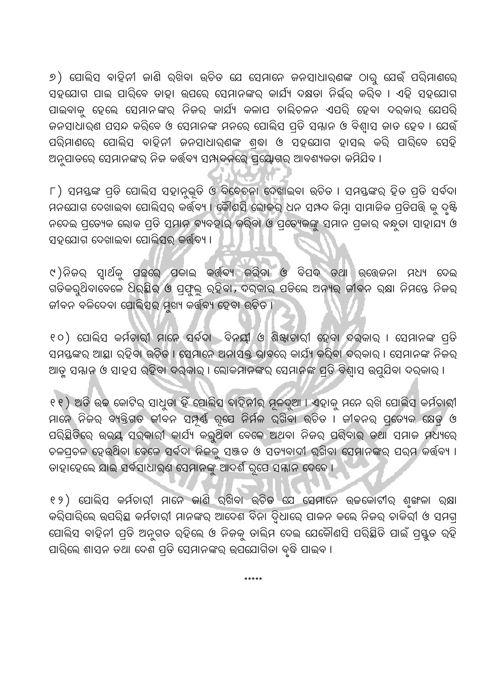୬) ପୋଲିସ ବାହିନୀ ଜାଣି ରଖିବା ଉଚିତ ଯେ ସେମାନେ ଜନସାଧାର୍ଣଙ୍କ ଠାରୁ ଯେଉଁ ପରିମାଣରେ ସହଯୋଗ ପାଇ ପାରିବେ ତାହା ଉପରେ ସେମାନଙ୍କର କାର୍ଯ୍ୟ ଦକ୍ଷତା ନିର୍ଭର୍ କରିବ । ଏହି ସହଯୋଗ ପାଇବାକୁ ହେଲେ ସେମାନଙ୍କର୍ ନିଜର୍ କାର୍ଯ୍ୟ କଳାପ ଚାଲିଚଳନ ଏପରି ହେବା ଦର୍କାର୍ ଯେପରି ଜନସାଧାର୍ଣ ପସନ୍ଦ କରିବେ ଓ ସେମାନଙ୍କ ମନରେ ପୋଲିସ ପ୍ତି ସନ୍ନାନ ଓ ବିଶ୍ୱାସ ଜାତ ହେବ । ଯେଉଁ ପରିମାଣରେ ପୋଲିସ ବାହିନୀ ଜନସାଧାର୍ଣଙ୍କ ଶ୍ଢା ଓ ସହଯୋଗ ହାସଲ କରି ପାରିବେ ସେହି ଅନୁପାତରେ ସେମାନଙ୍କର୍ ନିଜ କର୍ତ୍ତବ୍ୟ ସମ୍ପାଦନରେ ପ୍ରୟୋଗର୍ ଆବଶ୍ୟକତା କମିଯିବ ।

୮) ସମୟଙ୍କ ପ୍ରତି ପୋଲିସ ସହାନୁଭୂତି ଓ ବିବେଚନା ଦେଖାଇବା ଉଚିତ । ସମୟଙ୍କର୍ ହିତ ପ୍ରତି ସର୍ବଦା ମନଯୋଗ ଦେଖାଇବା ପୋଲିସର କର୍ତ୍ତବ୍ୟ । କୌଣସି ଲୋକର ଧନ ସମ୍ପଦ କିମ୍ବା ସାମାଜିକ ପ୍ରତିପତ୍ତି କୁ ଦୃଷ୍ଟି ନଦେଇ ପ୍ରତ୍ୟେକ ଲୋକ ପ୍ରତି ସମାନ ବ୍ୟବହାର କରିବା ଓ ପ୍ରତ୍ୟେକଙ୍କୁ ସମାନ ପ୍ରକାର ବନ୍ଧୁତା ସାହାଯ୍ୟ ଓ ସହଯୋଗ ଦେଖାଇବା ପୋଲିସର କର୍ତ୍ତବ୍ୟ ।

୯)ନିଜର ସ୍ୱାର୍ଥକୁ ପଛରେ ପକାଇ କର୍ତ୍ତିବ୍ୟ କରିବା ଓ ବିପଦ ତଥା ଉତ୍ତେଜନା ମଧ୍ୟ ଦେଇ ଗତିକରୁଥିବାବେଳେ ଧିର୍ଛିର ଓ ପ୍ରଫୁଲ୍ଲ ରହିବା, ଦର୍କାର ପଡିଲେ ଅନ୍ୟର ଜୀବନ ରକ୍ଷା ନିମନ୍ତେ ନିଜର ଜୀବନ ବଳିଦେବା ପୋଲିସର୍ ମୁଖ୍ୟ କର୍ତ୍ତବ୍ୟ ହେବା ଉଚିତ ।

୧୦) ପୋଲିସ କର୍ମଚାରୀ ମାନେ ସର୍ବଦା ବିନୟୀ ଓ ଶିଷ୍କାଚାରୀ ହେବା ଦର୍କାର । ସେମାନଙ୍କ ପ୍ରତି ସମସ୍ତଙ୍କର ଆସ୍ଥା ରହିବା ଉଚିତ । ସେମାନେ ଅନାସକ୍ତ ଭାବରେ କାର୍ଯ୍ୟ କରିବା ଦରକାର । ସେମାନଙ୍କ ନିଜର ଆଡ଼ୁ ସମ୍ମାନ ଓ ସାହସ ରହିବା ଦର୍କାର । ଲୋକମାନଙ୍କର ସେମାନଙ୍କ ପ୍ରତି ବିଶ୍ୱାସ ଉପୁଯିବା ଦର୍କାର ।

୧୧) ଅତି ଉଚ୍ଚ କୋଟିର୍ ସାଧୁଡା ହିଁ ପୋଲିସ ବାହିନୀର୍ ମୂଳଦୁଆ । ଏହାକୁ ମନେ ରଖି ପୋଲିସ କର୍ମଚାରୀ ମାନେ ନିଜର ବ୍ୟକ୍ତିଗତ ଜୀବନ ସମ୍ପୂର୍ଣ୍ଣ ରୂପେ ନିର୍ମଳ ରଖିବା ଉଚିତ । ଜୀବନର ପ୍ରତ୍ୟେକ କ୍ଷେତ୍ର ଓ ପରିଛିତିରେ ଉଭୟ ସରକାରୀ କାର୍ଯ୍ୟ କରୁଥିବା ବେଳେ ଅଥବା ନିଜର ପରିବାର ତଥା ସମାଜ ମଧ୍ୟରେ ଚଳପ୍ରଚଳ ହେଉଥିବା ବେଳେ ସର୍ବଦା ନିଜକୁ ସଞ୍ଜତ ଓ ସତ୍ୟବାଦୀ ର୍ଖିବା ସେମାନଙ୍କର ପର୍ମ କର୍ତ୍ତବ୍ୟ । ତାହାହେଲେ ଯାଇ ସର୍ବସାଧାରଣ ସେମାନଙ୍କୁ ଆଦର୍ଶ ରୂପେ ସମ୍ମାନ ଦେବେ ।

୧୨) ପୋଲିସ କର୍ମଚାରୀ ମାନେ କାଣି ରଖିବା ଉଚିତ ଯେ ସେମାନେ ଉଚ୍ଚକୋଟୀର ଶୂଙ୍ଖଳା ରକ୍ଷା କରିପାରିଲେ ଉପରିୟ କର୍ମଚାରୀ ମାନଙ୍କର ଆଦେଶ ବିନା ଦ୍ୱିଧାରେ ପାଳନ କଲେ ନିଜର ଚାକିରୀ ଓ ସମଗ୍ର ପୋଲିସ ବାହିନୀ ପ୍ରତି ଅନୁଗତ ରହିଲେ ଓ ନିଜକୁ ତାଲି<mark>ମ ଦେଇ ଯେକୌଣସି ପରି</mark>ଛିତି ପାଇଁ ପ୍ରସ୍ତୁତ ରହି ପାରିଲେ ଶାସନ ତଥା ଦେଶ ପ୍ରତି ସେମାନଙ୍କର ଉପଯୋଗିତା ବୃଦ୍ଧି ପାଇବ ।

 $*****$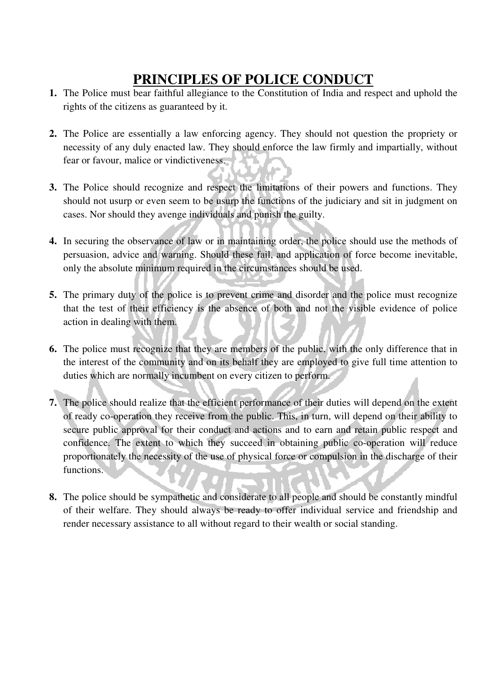## **PRINCIPLES OF POLICE CONDUCT**

- **1.** The Police must bear faithful allegiance to the Constitution of India and respect and uphold the rights of the citizens as guaranteed by it.
- **2.** The Police are essentially a law enforcing agency. They should not question the propriety or necessity of any duly enacted law. They should enforce the law firmly and impartially, without fear or favour, malice or vindictiveness.
- **3.** The Police should recognize and respect the limitations of their powers and functions. They should not usurp or even seem to be usurp the functions of the judiciary and sit in judgment on cases. Nor should they avenge individuals and punish the guilty.
- **4.** In securing the observance of law or in maintaining order, the police should use the methods of persuasion, advice and warning. Should these fail, and application of force become inevitable, only the absolute minimum required in the circumstances should be used.
- **5.** The primary duty of the police is to prevent crime and disorder and the police must recognize that the test of their efficiency is the absence of both and not the visible evidence of police action in dealing with them.
- **6.** The police must recognize that they are members of the public, with the only difference that in the interest of the community and on its behalf they are employed to give full time attention to duties which are normally incumbent on every citizen to perform.
- **7.** The police should realize that the efficient performance of their duties will depend on the extent of ready co-operation they receive from the public. This, in turn, will depend on their ability to secure public approval for their conduct and actions and to earn and retain public respect and confidence. The extent to which they succeed in obtaining public co-operation will reduce proportionately the necessity of the use of physical force or compulsion in the discharge of their functions.
- **8.** The police should be sympathetic and considerate to all people and should be constantly mindful of their welfare. They should always be ready to offer individual service and friendship and render necessary assistance to all without regard to their wealth or social standing.